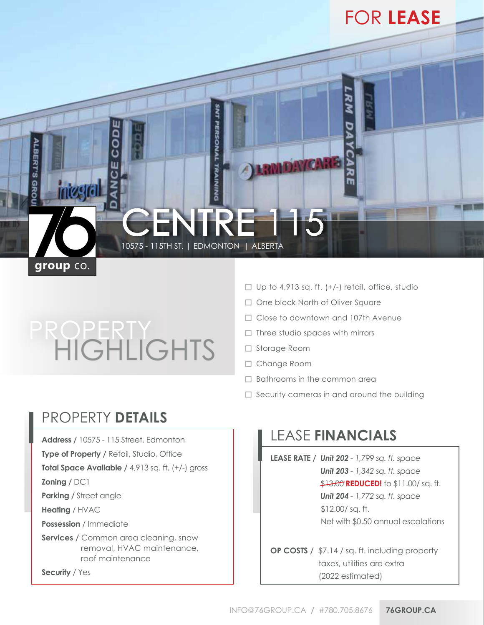

## PROPERTY HIGHLIGHTS

- $\Box$  Up to 4,913 sq. ft. (+/-) retail, office, studio
- □ One block North of Oliver Square
- □ Close to downtown and 107th Avenue
- $\Box$  Three studio spaces with mirrors
- □ Storage Room
- □ Change Room
- $\Box$  Bathrooms in the common area
- $\Box$  Security cameras in and around the building

## PROPERTY **DETAILS**

**Address /** 10575 - 115 Street, Edmonton

**Type of Property / Retail, Studio, Office** 

**Total Space Available /** 4,913 sq. ft. (+/-) gross

**Zoning /** DC1

**Parking / Street angle** 

**Heating** / HVAC

**Possession** / Immediate

**Services / Common area cleaning, snow**  removal, HVAC maintenance, roof maintenance

**Security** / Yes

## LEASE **FINANCIALS**

**LEASE RATE /** *Unit 202 - 1,799 sq. ft. space Unit 203 - 1,342 sq. ft. space* \$13.00 **REDUCED!** to \$11.00/sq. ft.

 *Unit 204 - 1,772 sq. ft. space* \$12.00/ sq. ft. Net with \$0.50 annual escalations

**OP COSTS /** \$7.14 / sq. ft. including property taxes, utilities are extra (2022 estimated)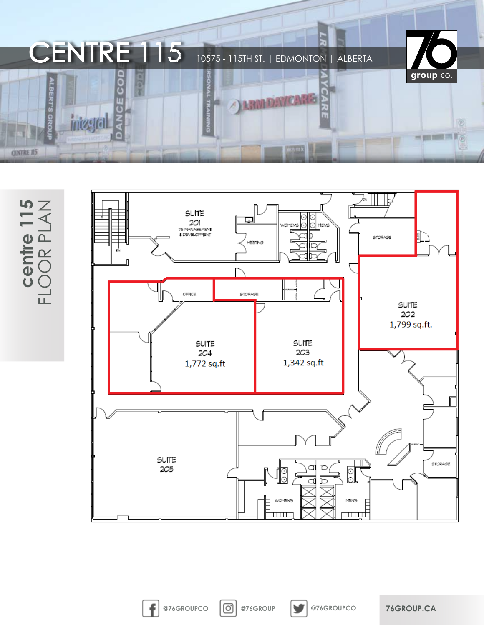